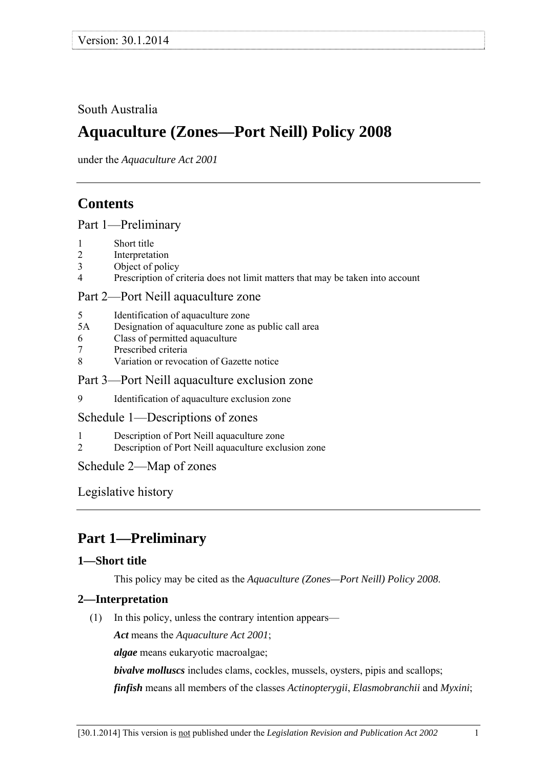## <span id="page-0-0"></span>South Australia

# **Aquaculture (Zones—Port Neill) Policy 2008**

under the *Aquaculture Act 2001*

## **Contents**

## [Part 1—Preliminary](#page-0-0)

- [1 Short title](#page-0-0)
- [2 Interpretation](#page-0-0)
- [3 Object of policy](#page-1-0)
- [4 Prescription of criteria does not limit matters that may be taken into account](#page-1-0)

### [Part 2—Port Neill aquaculture zone](#page-1-0)

- [5 Identification of aquaculture zone](#page-1-0)
- [5A Designation of aquaculture zone as public call area](#page-1-0)
- [6 Class of permitted aquaculture](#page-1-0)
- [7 Prescribed criteria](#page-2-0)
- [8 Variation or revocation of Gazette notice](#page-2-0)

### [Part 3—Port Neill aquaculture exclusion zone](#page-2-0)

[9 Identification of aquaculture exclusion zone](#page-2-0) 

#### [Schedule 1—Descriptions of zones](#page-3-0)

- [1 Description of Port Neill aquaculture zone](#page-3-0)
- [2 Description of Port Neill aquaculture exclusion zone](#page-3-0)

## [Schedule 2—Map of zones](#page-5-0)

[Legislative history](#page-6-0) 

## **Part 1—Preliminary**

## **1—Short title**

This policy may be cited as the *[Aquaculture \(Zones—Port Neill\) Policy 2008](http://www.legislation.sa.gov.au/index.aspx?action=legref&type=subordleg&legtitle=Aquaculture%20(Zones%E2%80%94Port%20Neill)%20Policy%202008)*.

## **2—Interpretation**

(1) In this policy, unless the contrary intention appears—

*Act* means the *[Aquaculture Act 2001](http://www.legislation.sa.gov.au/index.aspx?action=legref&type=act&legtitle=Aquaculture%20Act%202001)*;

*algae* means eukaryotic macroalgae;

*bivalve molluscs* includes clams, cockles, mussels, oysters, pipis and scallops;

*finfish* means all members of the classes *Actinopterygii*, *Elasmobranchii* and *Myxini*;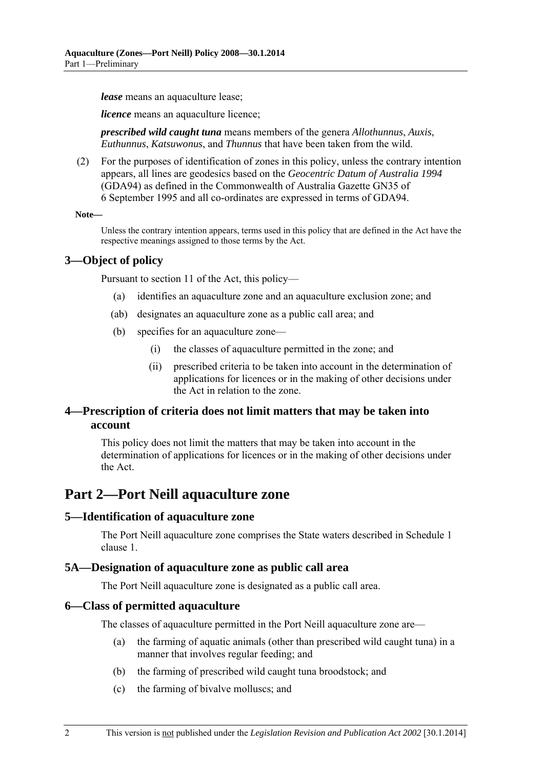<span id="page-1-0"></span>*lease* means an aquaculture lease;

*licence* means an aquaculture licence;

*prescribed wild caught tuna* means members of the genera *Allothunnus*, *Auxis*, *Euthunnus*, *Katsuwonus*, and *Thunnus* that have been taken from the wild.

 (2) For the purposes of identification of zones in this policy, unless the contrary intention appears, all lines are geodesics based on the *Geocentric Datum of Australia 1994* (GDA94) as defined in the Commonwealth of Australia Gazette GN35 of 6 September 1995 and all co-ordinates are expressed in terms of GDA94.

#### **Note—**

Unless the contrary intention appears, terms used in this policy that are defined in the Act have the respective meanings assigned to those terms by the Act.

#### **3—Object of policy**

Pursuant to section 11 of the Act, this policy—

- (a) identifies an aquaculture zone and an aquaculture exclusion zone; and
- (ab) designates an aquaculture zone as a public call area; and
- (b) specifies for an aquaculture zone—
	- (i) the classes of aquaculture permitted in the zone; and
	- (ii) prescribed criteria to be taken into account in the determination of applications for licences or in the making of other decisions under the Act in relation to the zone.

### **4—Prescription of criteria does not limit matters that may be taken into account**

This policy does not limit the matters that may be taken into account in the determination of applications for licences or in the making of other decisions under the Act.

## **Part 2—Port Neill aquaculture zone**

#### **5—Identification of aquaculture zone**

The Port Neill aquaculture zone comprises the State waters described in [Schedule 1](#page-3-0)  [clause 1](#page-3-0).

#### **5A—Designation of aquaculture zone as public call area**

The Port Neill aquaculture zone is designated as a public call area.

#### **6—Class of permitted aquaculture**

The classes of aquaculture permitted in the Port Neill aquaculture zone are—

- (a) the farming of aquatic animals (other than prescribed wild caught tuna) in a manner that involves regular feeding; and
- (b) the farming of prescribed wild caught tuna broodstock; and
- (c) the farming of bivalve molluscs; and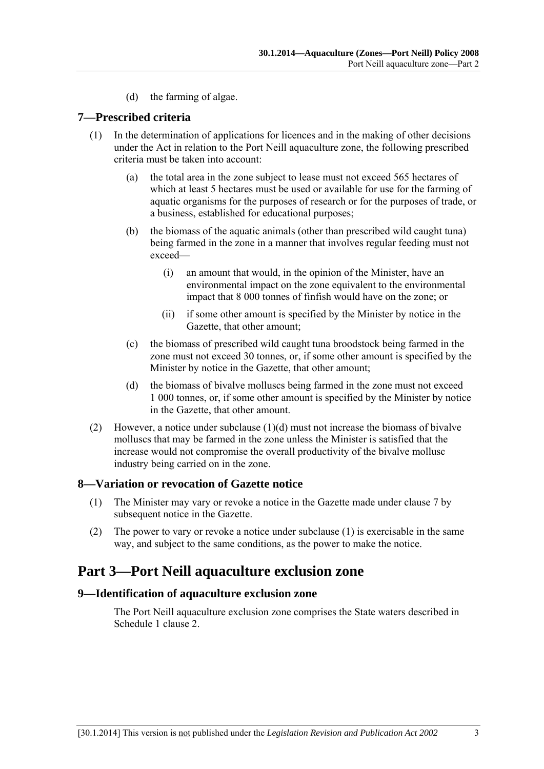(d) the farming of algae.

#### <span id="page-2-0"></span>**7—Prescribed criteria**

- (1) In the determination of applications for licences and in the making of other decisions under the Act in relation to the Port Neill aquaculture zone, the following prescribed criteria must be taken into account:
	- (a) the total area in the zone subject to lease must not exceed 565 hectares of which at least 5 hectares must be used or available for use for the farming of aquatic organisms for the purposes of research or for the purposes of trade, or a business, established for educational purposes;
	- (b) the biomass of the aquatic animals (other than prescribed wild caught tuna) being farmed in the zone in a manner that involves regular feeding must not exceed—
		- (i) an amount that would, in the opinion of the Minister, have an environmental impact on the zone equivalent to the environmental impact that 8 000 tonnes of finfish would have on the zone; or
		- (ii) if some other amount is specified by the Minister by notice in the Gazette, that other amount;
	- (c) the biomass of prescribed wild caught tuna broodstock being farmed in the zone must not exceed 30 tonnes, or, if some other amount is specified by the Minister by notice in the Gazette, that other amount;
	- (d) the biomass of bivalve molluscs being farmed in the zone must not exceed 1 000 tonnes, or, if some other amount is specified by the Minister by notice in the Gazette, that other amount.
- (2) However, a notice under subclause  $(1)(d)$  must not increase the biomass of bivalve molluscs that may be farmed in the zone unless the Minister is satisfied that the increase would not compromise the overall productivity of the bivalve mollusc industry being carried on in the zone.

#### **8—Variation or revocation of Gazette notice**

- (1) The Minister may vary or revoke a notice in the Gazette made under [clause 7](#page-2-0) by subsequent notice in the Gazette.
- (2) The power to vary or revoke a notice under [subclause \(1\)](#page-2-0) is exercisable in the same way, and subject to the same conditions, as the power to make the notice.

## **Part 3—Port Neill aquaculture exclusion zone**

#### **9—Identification of aquaculture exclusion zone**

The Port Neill aquaculture exclusion zone comprises the State waters described in [Schedule 1 clause 2.](#page-3-0)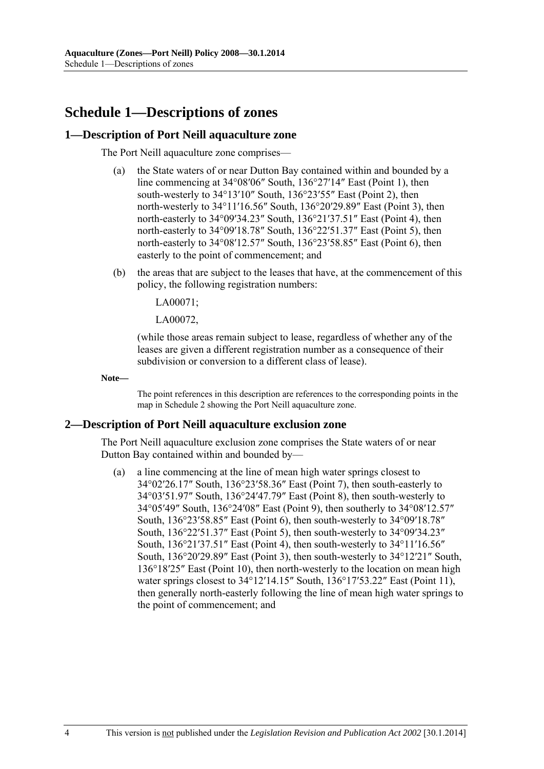## <span id="page-3-0"></span>**Schedule 1—Descriptions of zones**

#### **1—Description of Port Neill aquaculture zone**

The Port Neill aquaculture zone comprises—

- (a) the State waters of or near Dutton Bay contained within and bounded by a line commencing at 34°08′06″ South, 136°27′14″ East (Point 1), then south-westerly to 34°13'10" South, 136°23'55" East (Point 2), then north-westerly to 34°11′16.56″ South, 136°20′29.89″ East (Point 3), then north-easterly to 34°09′34.23″ South, 136°21′37.51″ East (Point 4), then north-easterly to 34°09′18.78″ South, 136°22′51.37″ East (Point 5), then north-easterly to 34°08′12.57″ South, 136°23′58.85″ East (Point 6), then easterly to the point of commencement; and
- (b) the areas that are subject to the leases that have, at the commencement of this policy, the following registration numbers:

LA00071;

LA00072,

(while those areas remain subject to lease, regardless of whether any of the leases are given a different registration number as a consequence of their subdivision or conversion to a different class of lease).

**Note—** 

The point references in this description are references to the corresponding points in the map in [Schedule 2](#page-5-0) showing the Port Neill aquaculture zone.

#### **2—Description of Port Neill aquaculture exclusion zone**

The Port Neill aquaculture exclusion zone comprises the State waters of or near Dutton Bay contained within and bounded by—

 (a) a line commencing at the line of mean high water springs closest to 34°02′26.17″ South, 136°23′58.36″ East (Point 7), then south-easterly to 34°03′51.97″ South, 136°24′47.79″ East (Point 8), then south-westerly to 34°05′49″ South, 136°24′08″ East (Point 9), then southerly to 34°08′12.57″ South, 136°23′58.85″ East (Point 6), then south-westerly to 34°09′18.78″ South, 136°22′51.37″ East (Point 5), then south-westerly to 34°09′34.23″ South, 136°21′37.51″ East (Point 4), then south-westerly to 34°11′16.56″ South, 136°20′29.89″ East (Point 3), then south-westerly to 34°12′21″ South, 136°18′25″ East (Point 10), then north-westerly to the location on mean high water springs closest to 34°12'14.15" South, 136°17'53.22" East (Point 11), then generally north-easterly following the line of mean high water springs to the point of commencement; and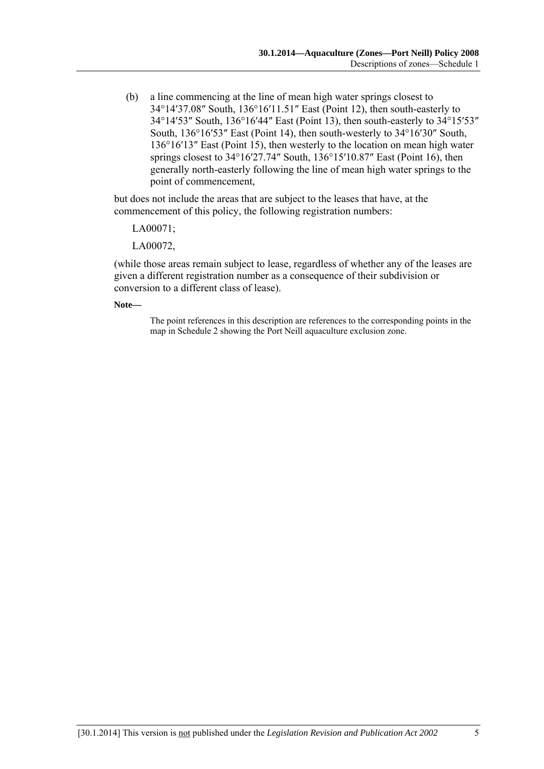(b) a line commencing at the line of mean high water springs closest to 34°14′37.08″ South, 136°16′11.51″ East (Point 12), then south-easterly to 34°14′53″ South, 136°16′44″ East (Point 13), then south-easterly to 34°15′53″ South, 136°16′53″ East (Point 14), then south-westerly to 34°16′30″ South, 136°16′13″ East (Point 15), then westerly to the location on mean high water springs closest to 34°16′27.74″ South, 136°15′10.87″ East (Point 16), then generally north-easterly following the line of mean high water springs to the point of commencement,

but does not include the areas that are subject to the leases that have, at the commencement of this policy, the following registration numbers:

LA00071;

LA00072,

(while those areas remain subject to lease, regardless of whether any of the leases are given a different registration number as a consequence of their subdivision or conversion to a different class of lease).

**Note—** 

The point references in this description are references to the corresponding points in the map in [Schedule 2](#page-5-0) showing the Port Neill aquaculture exclusion zone.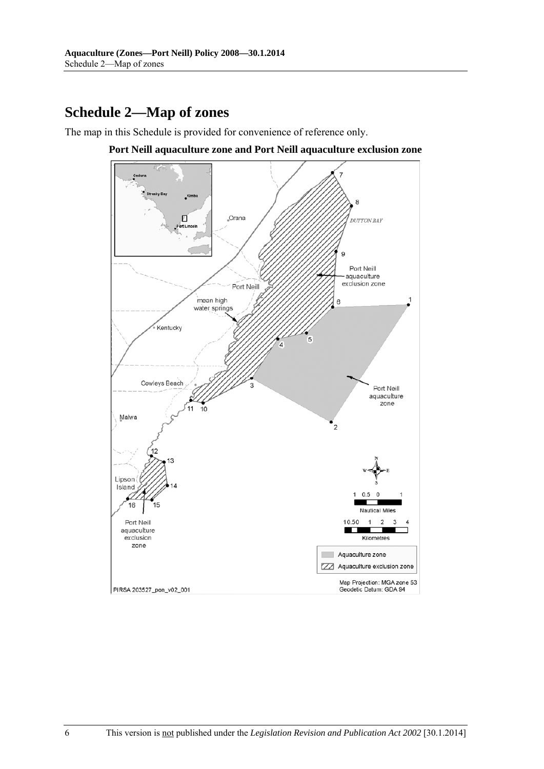# <span id="page-5-0"></span>**Schedule 2—Map of zones**

The map in this Schedule is provided for convenience of reference only.